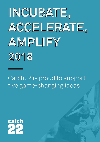

Catch22 is proud to support five game-changing ideas

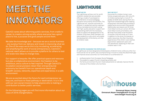# **MEET THE INNOVATORS**

Catch22 cares about reforming public services, from cradle to career, to create a strong society where everyone has a good place to live, a purpose and good people around them.

We take the knowledge and - because we are a social business - any surplus from our delivery and invest in improving what we do. One of the ways we do this is by incubating, accelerating and amplifying the work of social entrepreneurs. Catch22's national reach allows us to provide a platform for others to test and scale new ideas to change lives.

Our support is bespoke. We offer practical space and resource but also a collaborative environment, the freedom to be ambitious, and a culture to feel inspired. Through Catch22's incubation social pioneers retain their entrepreneurial autonomy but benefit from our operational depth and breadth: access, networks, expertise and experience, in a safe environment.

We are as excited about the future for each entrepreneur as they are, and have no fixed pathway or destination. It is in line with our own social mission to help anyone who is making a contribution to better public services.

On the following pages you will find more information about our class of 2018 changemakers.

## **LIGHTHOUSE**

#### **WHAT WE DO**

The Lighthouse will be a not-for-profit children's residential care provider, offering a model of care based on a combination of social pedagogy, education and a family environment. The Lighthouse will improve outcomes for children in residential care by creating a family orientated environment, along with high-quality education support and outstanding staff with the necessary skills to support the development of all children living there. Staff members will take residency on site, which will enable the development of the family unit that all children need.

#### **WHY WE DO IT**

Outcomes for children living in care homes are generally poor, with only 4% of children achieving 5 or more A\*-C grades at GCSE level, leaving them at a significant disadvantage when seeking employment and eventually providing a stable family environment themselves. Additionally, care leavers are 50 times more likely to end up in prison, 60 times more likely to end up homeless, and 66 times more likely to be the parent of another child who ends up in care. In addition to the strain this places on public resources, the often traumatic experiences of the child in care reaches beyond their adolescent years and into adulthood, impacting on their own children later in life.

#### **HOW WE'RE CHANGING THE STATUS QUO**

At Lighthouse we have designed and developed a children's home unlike any other. Our home will be not-for-profit, and uncompromising in its aim to close the attainment gap and improve social outcomes. Our home draws on a combination of:

- 1. professionalism from European Social Pedagogy,
- 2. the academic support found in boarding schools, and
- 3. the family environment found in foster placements to radically improve the life chances of the children who live there.



**Emmanuel Akpan-Inwang Emmanuel.Akpan-Inwang@catch-22.org.uk www.thelight-house.org.uk**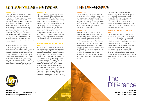## **LONDON VILLAGE NETWORK**

#### **WHAT WE DO**

London Village Network (LVN) creates an environment for learning outside of school. Our hyper-local community cohesion program adds value to existing community groups. We deepen engagement and learning for young people. We promote social mobility by helping boost the social capital and networks of some of London's most disadvantaged young people. We are doing this through our Volunteer Management App that makes it easy for the local community to give time to help with course work, applications, business and career planning in deprived communities.

A typical event lasts two hours. Each attendee receives a Personal Development Plan to help track interests and progression. We also conduct a work ready assessment to see what further intervention may be necessary. A typical session involves a presentation for up to 30 minutes about a volunteer's career journey, their industry and the benefits of working. The remaining time is then used for practical support for young people.

**Rachael Box Rachael.Box@Londonvillagenetwork.com www.londonvillagenetwork.com**

#### **WHY WE DO IT**

London has seen a continued increase in knife crime as highlighted by recent youth stabbings in Kentish Town. LVN uses diversionary tactics to move young people away from knife crime, youth violence and other anti-social behaviour. LVN believes it is the community's responsibility to change the mind-set of these young people particularly those from BAME and / or white intergenerational unemployed families. Our theory of change outlines how young people are less likely to engage in antisocial behaviour if they have access to positive networks.

#### **HOW WE ARE CHANGING THE STATUS QUO**

Our hyper-local approach is accessing young people that no public services are currently reaching. We are embedded in the heart of an estate which means that young people do not have to travel far to get the support needed to progress (this is important for the young people caught up in postcode wars). Our platform is entirely user led, young people select the types of adults they would like to meet which is then facilitated by LVN youth leaders, widening a young person's network. Traditional youth leaders, sometimes in poverty traps themselves, do not always have the networks to further enhance a young person's journey.

## **THE DIFFERENCE**

#### **WHAT WE DO**

The Difference is a new charity whose mission is to bring the best in education to the children who need it most. We will achieve this through our two-year programme: training the next generation of school leaders, upskilled in supporting pupil mental health and reducing exclusion from school.

#### **WHY WE DO IT**

Every day, 35 of the country's most vulnerable children are permanently excluded from school. These children are twice as likely to be in care, four times more likely to be living in poverty, and seven times more likely to suffer a mental health problem or have another disability or special need. Only 1% of excluded children leave school with the qualifications they need to access the workplace. This minority of the school population goes on to make up the majority of the prison population. And numbers of exclusions are rising year on year.

The predictable life trajectory for these vulnerable children is not simply an injustice, it is also economically unsustainable. Every year's cohort of permanently excluded pupils will go on to cost the state £2.1billion in education, health, benefits and criminal justice costs. Yet more pupils are being excluded, year on year.

#### **HOW WE ARE CHANGING THE STATUS QUO**

The Difference is raising the status of teaching the most vulnerable children. Currently 1 in 8 teachers of excluded pupils is unqualified, and leadership vacancies in these schools have doubled in the past five years. Meanwhile, mainstream schools lack the specialist leadership to support mental health and reduce exclusion of vulnerable learners. The Difference charity brings much needed attention to the issue of exclusion and inspires exceptional school leaders to focus on the children who need them most.

# The<br>Difference

**Kiran Gill Kiran@the-difference.com www.the-difference.com**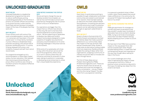## **UNLOCKED GRADUATES**

#### **WHAT WE DO**

Unlocked Graduates is a leadership development programme that aims to reduce reoffending by putting outstanding graduates on the frontline in prisons. Our pioneer officers are working in six prisons across London and the South East and are having an immediate impact of the lives of the people that they work with.

#### **WHY WE DO IT**

Prison officers work with some of the most vulnerable people in society. Almost 1 in 4 prisoners will have been in the care system and 1 in 3 have family members in prison. Efforts to rehabilitate these prisoners are failing, with almost half of prisoners reoffending within 12 months of being released from prison, and incidents of assault and self-harm are at record levels.

Our programme emerged out of a recommendation in Dame Sally Coates' review of prison education. She realised that improving and diversifying the prison officer workforce was critical to transform prisons into places of effective rehabilitation.

#### **HOW WE'RE CHANGING THE STATUS QUO**

We are aiming to change the way we develop society's future leaders, as well as how we think about prisons and prisoners by changing the role of a prison officer to focus on rehabilitation.

Our aspirations are bigger than the impact that our officers have directly on the wing. We want to harness their frontline experience to drive systemic reform. We are supporting our graduates to develop new ideas and conduct research and analysis designed to create a pipeline of tangible new practitioner and policy recommendations to fix some of the big challenges in the prison service at the moment.

While some of our graduates will chose to stay within the prison service at the end of the programme, others will go on to work in sectors where they can influence outcomes for prisoners in other ways, taking on positions in corporates or developing social enterprises to utilise their unique leadership experience.



#### **WHAT WE DO**

Owls Vision: A world where anything is possible through collaboration and where communities are looked to and listened to for solution. Owls has been testing an idea from the street called Problem Solving Booths, innovating with partners and the community to see if its positive impacts can be replicated and scaled through an approach called Street to Scale.

#### **WHY WE DO IT**

Street to Scale is the brainchild of Dr Charlie Howard, and explores how best to mobilise ideas that make a positive difference to our communities. Ideas that impact on the way we think, feel and act towards each other. Street to scale looks at alternative funding models which are responsive, flexible and best enable the scaling of ideas rather than organisations, wrapping a community of interest around the idea to innovate and learn through failure.

The first of these ideas are our Problem Solving Booths (PSBs) (Problemsolvingbooths.com). These are impromtu booths that can be set up anywhere and invite two strangers to have a conversation - one as a 'Helper' and the other being 'Helped'. The idea came from a young person standing

in a queue at a sandwich shop in West London, when Charlie asked what would make a difference in his community. He answered "A Problem Solving Booth right here on my street".

#### **HOW WE'RE CHANGING THE STATUS QUO**

PSBs give permission for strangers to connect and have conversations that they wouldn't usually have. Hundreds of advocates have since worked to develop PSBs, trying out all kinds of prototypes. There have now been Problem Solving Booths popping up from London to Zurich to Sydney.

We have learnt that PSBs have a positive impact on the way people think, feel and act towards each other. People enjoyed helping others, it made them feel connected and valued, and impacted on the way they thought about asking for help in the future.

Our current challenges are to find ways of replicating the impact of these conversations from 50 to 1000s of positive human connections a day and to find ways of enabling new ideas from the street to be heard.



**Lisa Clarke Lisa@owls.org.uk www.problemsolvingbooths.com** 

## **Unlocked**

**Sarah Pearson Sarah.Pearson@unlockedgrads.org.uk www.UnlockedGrads.org.uk**